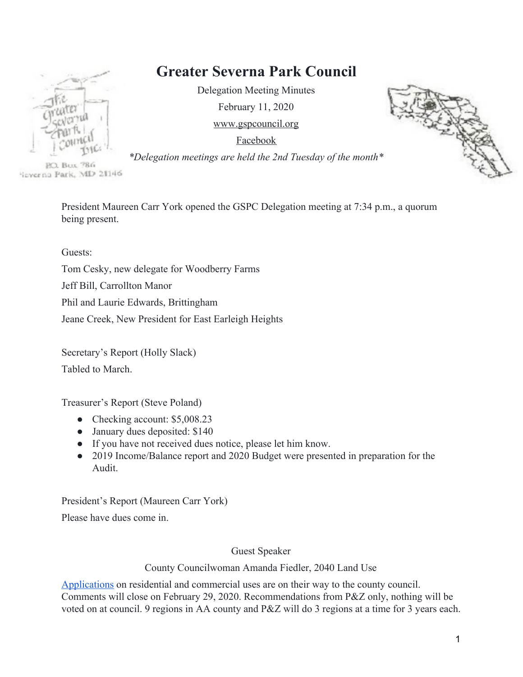# **Greater Severna Park Council**

Delegation Meeting Minutes February 11, 2020 [www.gspcouncil.org](http://www.gspcouncil.org/)

[Facebook](https://www.facebook.com/severnaparkcouncil/)

P.O. Bux 786 'izverna Park, MD 21146

> President Maureen Carr York opened the GSPC Delegation meeting at 7:34 p.m., a quorum being present.

Guests:

Tom Cesky, new delegate for Woodberry Farms Jeff Bill, Carrollton Manor Phil and Laurie Edwards, Brittingham Jeane Creek, New President for East Earleigh Heights

Secretary's Report (Holly Slack) Tabled to March.

Treasurer's Report (Steve Poland)

- Checking account: \$5,008.23
- January dues deposited: \$140
- If you have not received dues notice, please let him know.
- 2019 Income/Balance report and 2020 Budget were presented in preparation for the Audit.

President's Report (Maureen Carr York)

Please have dues come in.

Guest Speaker

County Councilwoman Amanda Fiedler, 2040 Land Use

[Applications](https://www.aacounty.org/departments/planning-and-zoning/long-range-planning/general-development-plan/index.html) on residential and commercial uses are on their way to the county council. Comments will close on February 29, 2020. Recommendations from P&Z only, nothing will be voted on at council. 9 regions in AA county and P&Z will do 3 regions at a time for 3 years each.

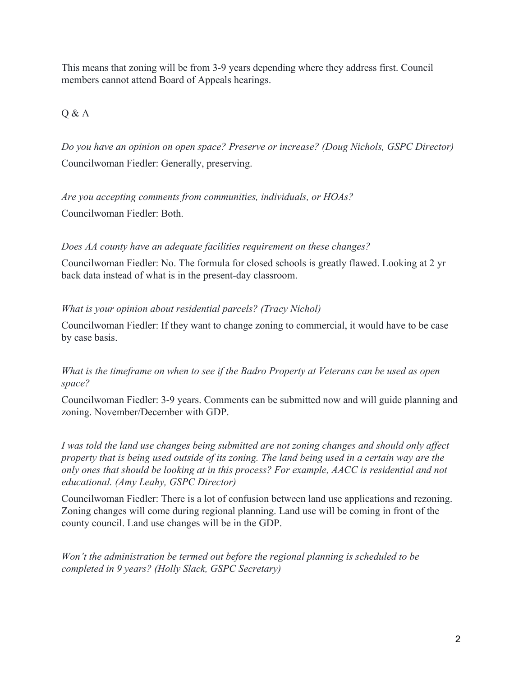This means that zoning will be from 3-9 years depending where they address first. Council members cannot attend Board of Appeals hearings.

Q & A

*Do you have an opinion on open space? Preserve or increase? (Doug Nichols, GSPC Director)* Councilwoman Fiedler: Generally, preserving.

*Are you accepting comments from communities, individuals, or HOAs?* Councilwoman Fiedler: Both.

### *Does AA county have an adequate facilities requirement on these changes?*

Councilwoman Fiedler: No. The formula for closed schools is greatly flawed. Looking at 2 yr back data instead of what is in the present-day classroom.

### *What is your opinion about residential parcels? (Tracy Nichol)*

Councilwoman Fiedler: If they want to change zoning to commercial, it would have to be case by case basis.

#### *What is the timeframe on when to see if the Badro Property at Veterans can be used as open space?*

Councilwoman Fiedler: 3-9 years. Comments can be submitted now and will guide planning and zoning. November/December with GDP.

*I was told the land use changes being submitted are not zoning changes and should only affect property that is being used outside of its zoning. The land being used in a certain way are the only ones that should be looking at in this process? For example, AACC is residential and not educational. (Amy Leahy, GSPC Director)*

Councilwoman Fiedler: There is a lot of confusion between land use applications and rezoning. Zoning changes will come during regional planning. Land use will be coming in front of the county council. Land use changes will be in the GDP.

*Won't the administration be termed out before the regional planning is scheduled to be completed in 9 years? (Holly Slack, GSPC Secretary)*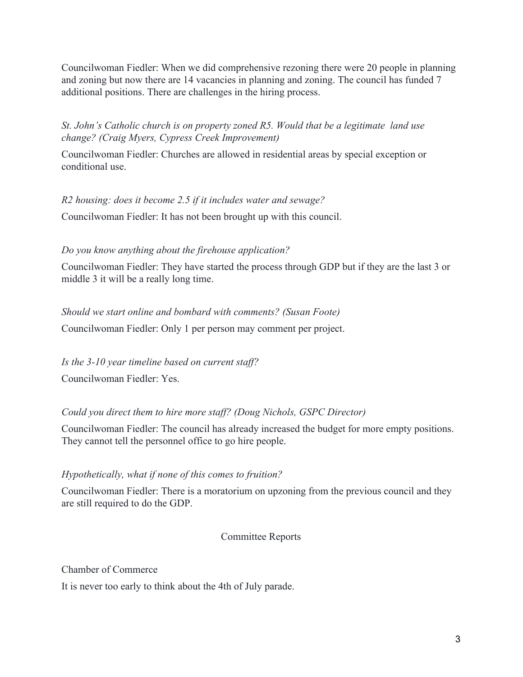Councilwoman Fiedler: When we did comprehensive rezoning there were 20 people in planning and zoning but now there are 14 vacancies in planning and zoning. The council has funded 7 additional positions. There are challenges in the hiring process.

*St. John's Catholic church is on property zoned R5. Would that be a legitimate land use change? (Craig Myers, Cypress Creek Improvement)*

Councilwoman Fiedler: Churches are allowed in residential areas by special exception or conditional use.

*R2 housing: does it become 2.5 if it includes water and sewage?*

Councilwoman Fiedler: It has not been brought up with this council.

#### *Do you know anything about the firehouse application?*

Councilwoman Fiedler: They have started the process through GDP but if they are the last 3 or middle 3 it will be a really long time.

#### *Should we start online and bombard with comments? (Susan Foote)*

Councilwoman Fiedler: Only 1 per person may comment per project.

*Is the 3-10 year timeline based on current staff?* Councilwoman Fiedler: Yes.

#### *Could you direct them to hire more staff? (Doug Nichols, GSPC Director)*

Councilwoman Fiedler: The council has already increased the budget for more empty positions. They cannot tell the personnel office to go hire people.

#### *Hypothetically, what if none of this comes to fruition?*

Councilwoman Fiedler: There is a moratorium on upzoning from the previous council and they are still required to do the GDP.

Committee Reports

Chamber of Commerce

It is never too early to think about the 4th of July parade.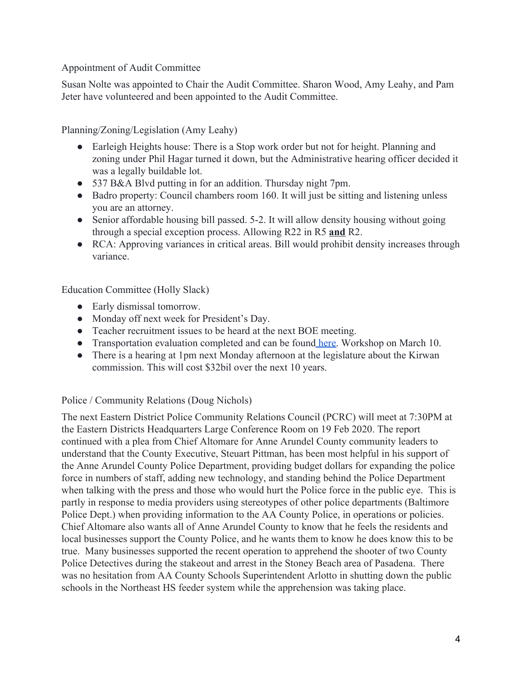### Appointment of Audit Committee

Susan Nolte was appointed to Chair the Audit Committee. Sharon Wood, Amy Leahy, and Pam Jeter have volunteered and been appointed to the Audit Committee.

Planning/Zoning/Legislation (Amy Leahy)

- Earleigh Heights house: There is a Stop work order but not for height. Planning and zoning under Phil Hagar turned it down, but the Administrative hearing officer decided it was a legally buildable lot.
- 537 B&A Blvd putting in for an addition. Thursday night 7pm.
- Badro property: Council chambers room 160. It will just be sitting and listening unless you are an attorney.
- Senior affordable housing bill passed. 5-2. It will allow density housing without going through a special exception process. Allowing R22 in R5 **and** R2.
- RCA: Approving variances in critical areas. Bill would prohibit density increases through variance.

Education Committee (Holly Slack)

- Early dismissal tomorrow.
- Monday off next week for President's Day.
- Teacher recruitment issues to be heard at the next BOE meeting.
- Transportation evaluation completed and can be found [here.](https://www.aacps.org/cms/lib/MD02215556/Centricity/Domain/280/Transportation%20Services%20Comprehensive%20Evalaution%201-8-20.pdf) Workshop on March 10.
- There is a hearing at 1pm next Monday afternoon at the legislature about the Kirwan commission. This will cost \$32bil over the next 10 years.

## Police / Community Relations (Doug Nichols)

The next Eastern District Police Community Relations Council (PCRC) will meet at 7:30PM at the Eastern Districts Headquarters Large Conference Room on 19 Feb 2020. The report continued with a plea from Chief Altomare for Anne Arundel County community leaders to understand that the County Executive, Steuart Pittman, has been most helpful in his support of the Anne Arundel County Police Department, providing budget dollars for expanding the police force in numbers of staff, adding new technology, and standing behind the Police Department when talking with the press and those who would hurt the Police force in the public eye. This is partly in response to media providers using stereotypes of other police departments (Baltimore Police Dept.) when providing information to the AA County Police, in operations or policies. Chief Altomare also wants all of Anne Arundel County to know that he feels the residents and local businesses support the County Police, and he wants them to know he does know this to be true. Many businesses supported the recent operation to apprehend the shooter of two County Police Detectives during the stakeout and arrest in the Stoney Beach area of Pasadena. There was no hesitation from AA County Schools Superintendent Arlotto in shutting down the public schools in the Northeast HS feeder system while the apprehension was taking place.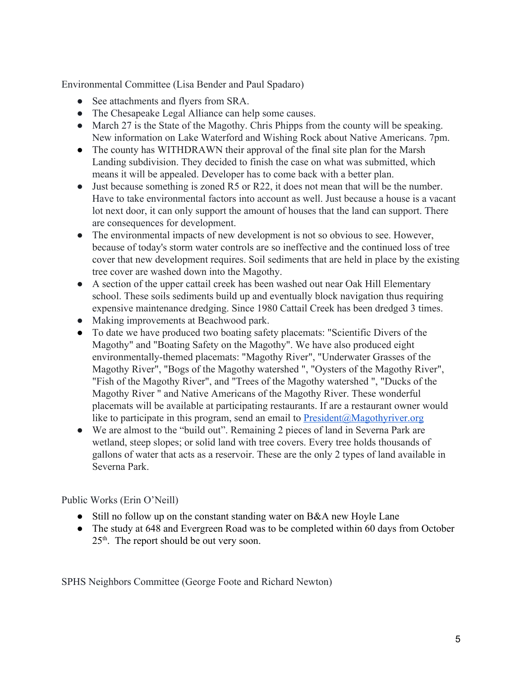Environmental Committee (Lisa Bender and Paul Spadaro)

- See attachments and flyers from SRA.
- The Chesapeake Legal Alliance can help some causes.
- March 27 is the State of the Magothy. Chris Phipps from the county will be speaking. New information on Lake Waterford and Wishing Rock about Native Americans. 7pm.
- The county has WITHDRAWN their approval of the final site plan for the Marsh Landing subdivision. They decided to finish the case on what was submitted, which means it will be appealed. Developer has to come back with a better plan.
- Just because something is zoned R5 or R22, it does not mean that will be the number. Have to take environmental factors into account as well. Just because a house is a vacant lot next door, it can only support the amount of houses that the land can support. There are consequences for development.
- The environmental impacts of new development is not so obvious to see. However, because of today's storm water controls are so ineffective and the continued loss of tree cover that new development requires. Soil sediments that are held in place by the existing tree cover are washed down into the Magothy.
- A section of the upper cattail creek has been washed out near Oak Hill Elementary school. These soils sediments build up and eventually block navigation thus requiring expensive maintenance dredging. Since 1980 Cattail Creek has been dredged 3 times.
- Making improvements at Beachwood park.
- To date we have produced two boating safety placemats: "Scientific Divers of the Magothy" and "Boating Safety on the Magothy". We have also produced eight environmentally-themed placemats: "Magothy River", "Underwater Grasses of the Magothy River", "Bogs of the Magothy watershed ", "Oysters of the Magothy River", "Fish of the Magothy River", and "Trees of the Magothy watershed ", "Ducks of the Magothy River " and Native Americans of the Magothy River. These wonderful placemats will be available at participating restaurants. If are a restaurant owner would like to participate in this program, send an email to  $President@Magothyriver.org$  $President@Magothyriver.org$  $President@Magothyriver.org$ </u>
- We are almost to the "build out". Remaining 2 pieces of land in Severna Park are wetland, steep slopes; or solid land with tree covers. Every tree holds thousands of gallons of water that acts as a reservoir. These are the only 2 types of land available in Severna Park.

Public Works (Erin O'Neill)

- Still no follow up on the constant standing water on B&A new Hoyle Lane
- The study at 648 and Evergreen Road was to be completed within 60 days from October 25<sup>th</sup>. The report should be out very soon.

SPHS Neighbors Committee (George Foote and Richard Newton)